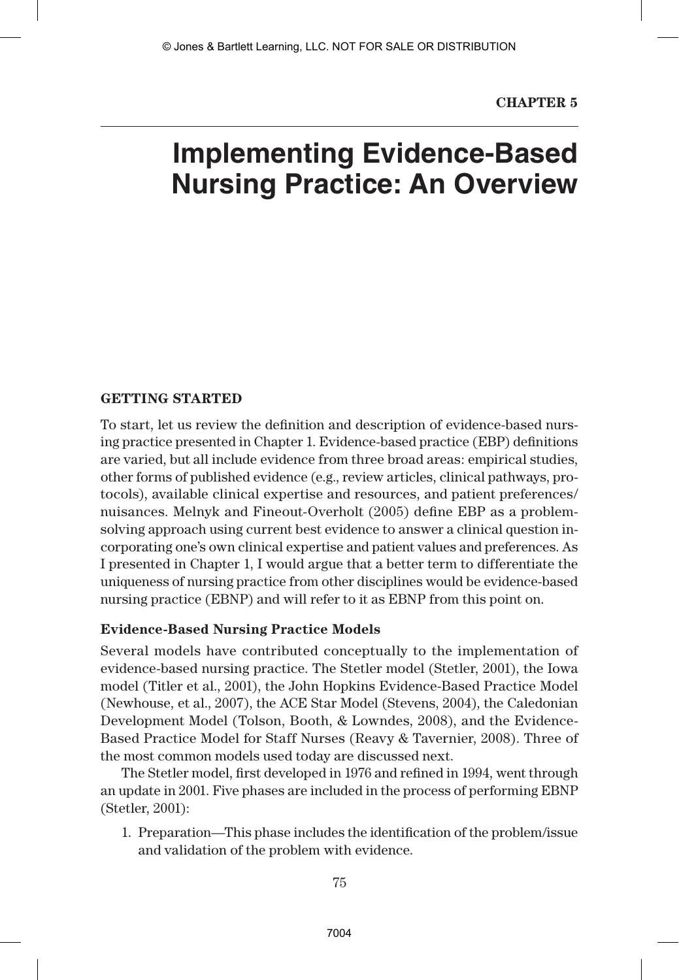# **Implementing Evidence-Based Nursing Practice: An Overview**

# **Getting Started**

To start, let us review the definition and description of evidence-based nursing practice presented in Chapter 1. Evidence-based practice (EBP) definitions are varied, but all include evidence from three broad areas: empirical studies, other forms of published evidence (e.g., review articles, clinical pathways, protocols), available clinical expertise and resources, and patient preferences/ nuisances. Melnyk and Fineout-Overholt (2005) define EBP as a problemsolving approach using current best evidence to answer a clinical question incorporating one's own clinical expertise and patient values and preferences. As I presented in Chapter 1, I would argue that a better term to differentiate the uniqueness of nursing practice from other disciplines would be evidence-based nursing practice (EBNP) and will refer to it as EBNP from this point on.

# **Evidence-Based Nursing Practice Models**

Several models have contributed conceptually to the implementation of evidence-based nursing practice. The Stetler model (Stetler, 2001), the Iowa model (Titler et al., 2001), the John Hopkins Evidence-Based Practice Model (Newhouse, et al., 2007), the ACE Star Model (Stevens, 2004), the Caledonian Development Model (Tolson, Booth, & Lowndes, 2008), and the Evidence-Based Practice Model for Staff Nurses (Reavy & Tavernier, 2008). Three of the most common models used today are discussed next.

The Stetler model, first developed in 1976 and refined in 1994, went through an update in 2001. Five phases are included in the process of performing EBNP (Stetler, 2001):

1. Preparation—This phase includes the identification of the problem/issue and validation of the problem with evidence.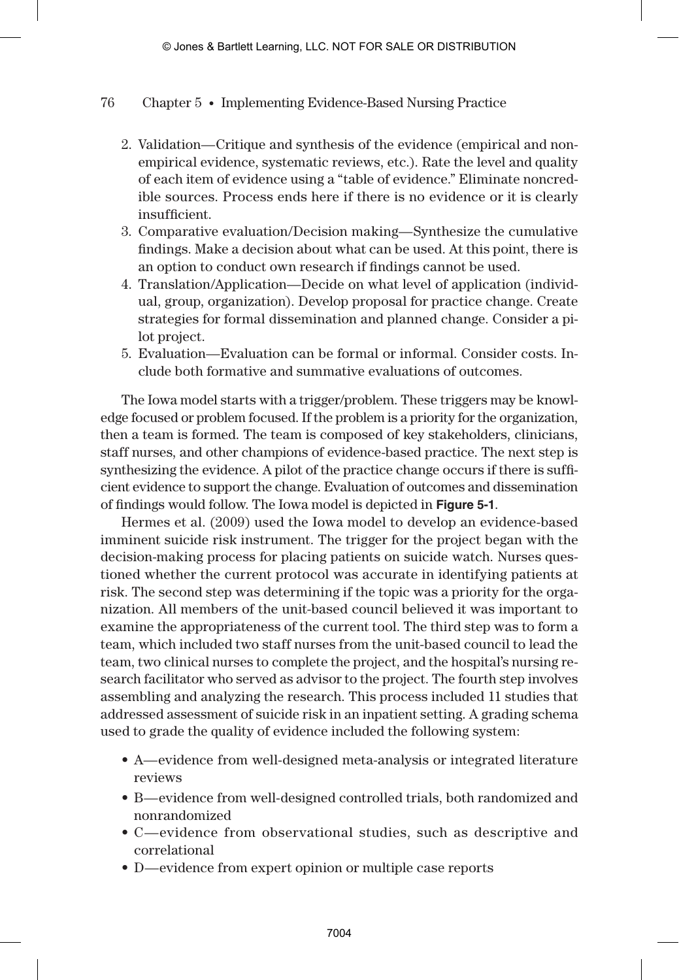- 2. Validation—Critique and synthesis of the evidence (empirical and nonempirical evidence, systematic reviews, etc.). Rate the level and quality of each item of evidence using a "table of evidence." Eliminate noncredible sources. Process ends here if there is no evidence or it is clearly insufficient.
- 3. Comparative evaluation/Decision making—Synthesize the cumulative findings. Make a decision about what can be used. At this point, there is an option to conduct own research if findings cannot be used.
- 4. Translation/Application—Decide on what level of application (individual, group, organization). Develop proposal for practice change. Create strategies for formal dissemination and planned change. Consider a pilot project.
- 5. Evaluation—Evaluation can be formal or informal. Consider costs. Include both formative and summative evaluations of outcomes.

The Iowa model starts with a trigger/problem. These triggers may be knowledge focused or problem focused. If the problem is a priority for the organization, then a team is formed. The team is composed of key stakeholders, clinicians, staff nurses, and other champions of evidence-based practice. The next step is synthesizing the evidence. A pilot of the practice change occurs if there is sufficient evidence to support the change. Evaluation of outcomes and dissemination of findings would follow. The Iowa model is depicted in **Figure 5-1**.

Hermes et al. (2009) used the Iowa model to develop an evidence-based imminent suicide risk instrument. The trigger for the project began with the decision-making process for placing patients on suicide watch. Nurses questioned whether the current protocol was accurate in identifying patients at risk. The second step was determining if the topic was a priority for the organization. All members of the unit-based council believed it was important to examine the appropriateness of the current tool. The third step was to form a team, which included two staff nurses from the unit-based council to lead the team, two clinical nurses to complete the project, and the hospital's nursing research facilitator who served as advisor to the project. The fourth step involves assembling and analyzing the research. This process included 11 studies that addressed assessment of suicide risk in an inpatient setting. A grading schema used to grade the quality of evidence included the following system:

- • A—evidence from well-designed meta-analysis or integrated literature reviews
- • B—evidence from well-designed controlled trials, both randomized and nonrandomized
- • C—evidence from observational studies, such as descriptive and correlational
- • D—evidence from expert opinion or multiple case reports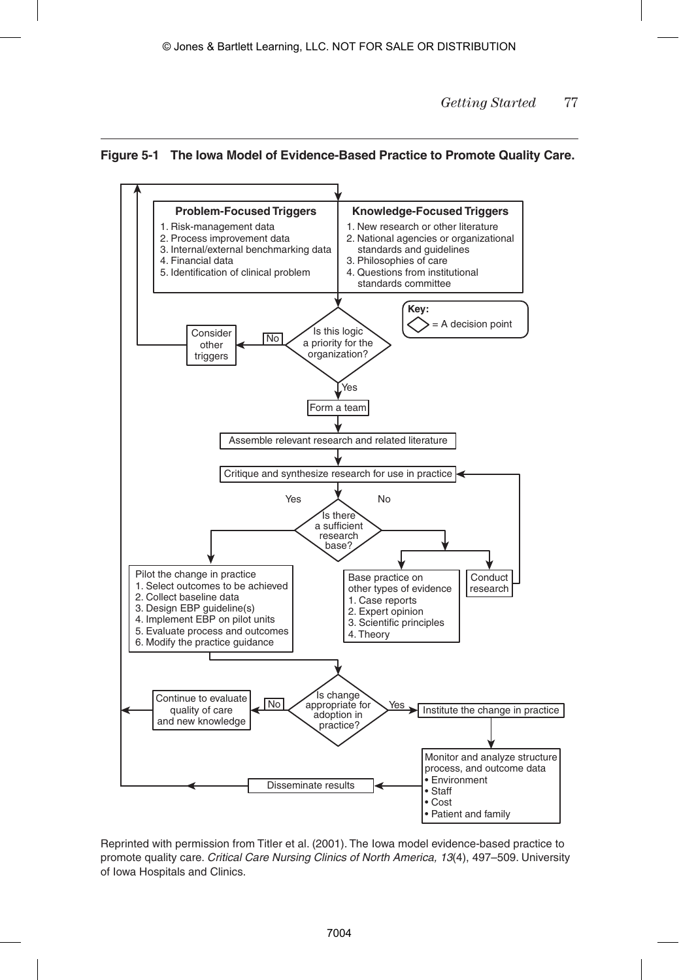



Reprinted with permission from Titler et al. (2001). The Iowa model evidence-based practice to promote quality care. *Critical Care Nursing Clinics of North America, 13*(4), 497–509. University of Iowa Hospitals and Clinics.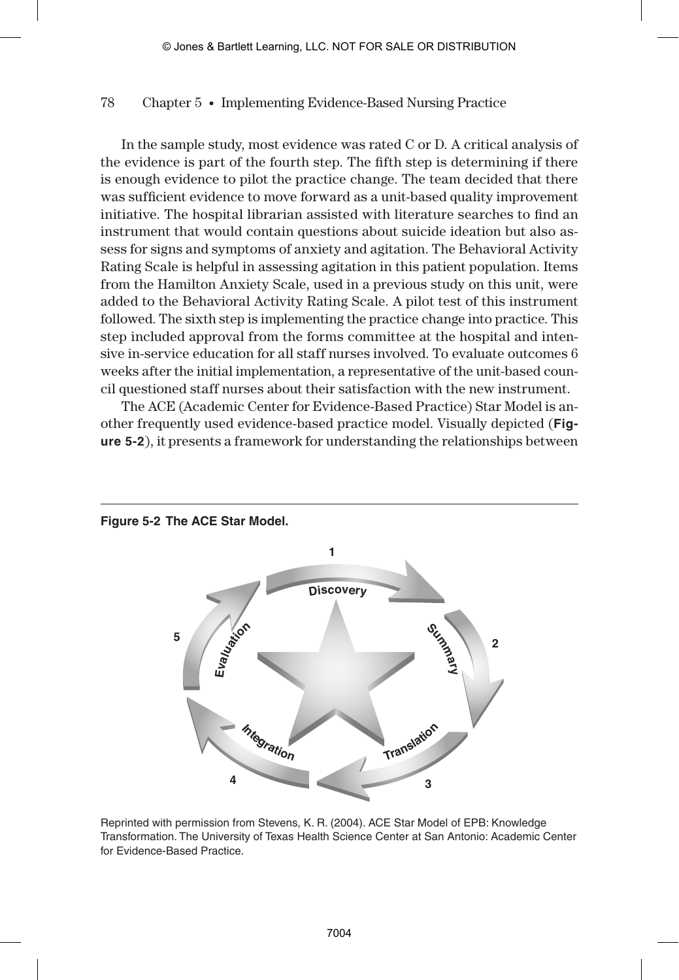In the sample study, most evidence was rated C or D. A critical analysis of the evidence is part of the fourth step. The fifth step is determining if there is enough evidence to pilot the practice change. The team decided that there was sufficient evidence to move forward as a unit-based quality improvement initiative. The hospital librarian assisted with literature searches to find an instrument that would contain questions about suicide ideation but also assess for signs and symptoms of anxiety and agitation. The Behavioral Activity Rating Scale is helpful in assessing agitation in this patient population. Items from the Hamilton Anxiety Scale, used in a previous study on this unit, were added to the Behavioral Activity Rating Scale. A pilot test of this instrument followed. The sixth step is implementing the practice change into practice. This step included approval from the forms committee at the hospital and intensive in-service education for all staff nurses involved. To evaluate outcomes 6 weeks after the initial implementation, a representative of the unit-based council questioned staff nurses about their satisfaction with the new instrument.

The ACE (Academic Center for Evidence-Based Practice) Star Model is another frequently used evidence-based practice model. Visually depicted (**Figure 5-2**), it presents a framework for understanding the relationships between



**Figure 5-2 The ACE Star Model.**

Reprinted with permission from Stevens, K. R. (2004). ACE Star Model of EPB: Knowledge Transformation. The University of Texas Health Science Center at San Antonio: Academic Center for Evidence-Based Practice.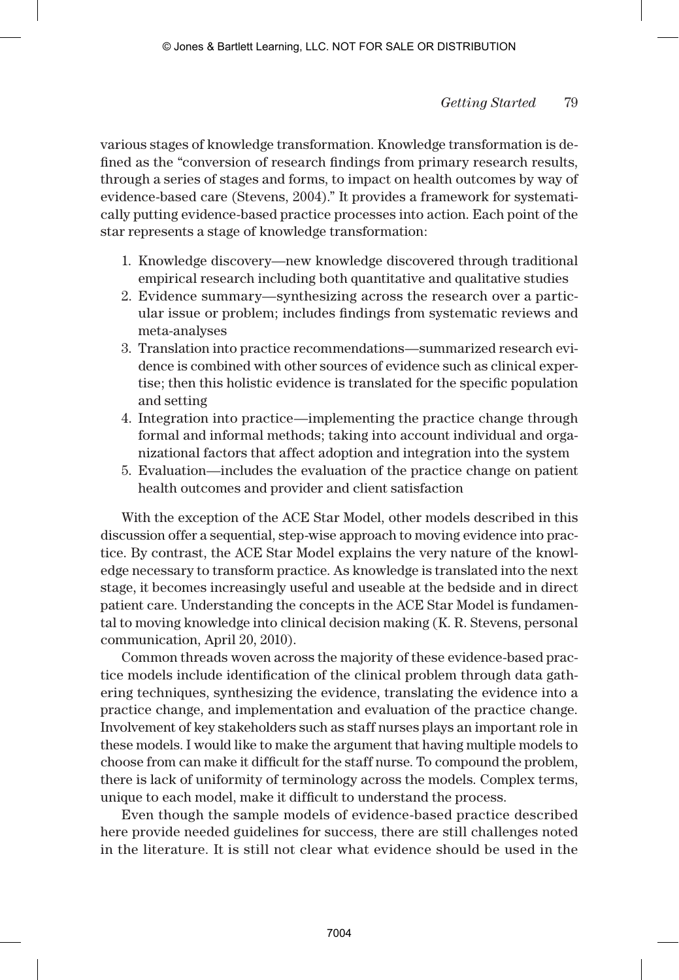various stages of knowledge transformation. Knowledge transformation is defined as the "conversion of research findings from primary research results, through a series of stages and forms, to impact on health outcomes by way of evidence-based care (Stevens, 2004)." It provides a framework for systematically putting evidence-based practice processes into action. Each point of the star represents a stage of knowledge transformation:

- 1. Knowledge discovery—new knowledge discovered through traditional empirical research including both quantitative and qualitative studies
- 2. Evidence summary—synthesizing across the research over a particular issue or problem; includes findings from systematic reviews and meta-analyses
- 3. Translation into practice recommendations—summarized research evidence is combined with other sources of evidence such as clinical expertise; then this holistic evidence is translated for the specific population and setting
- 4. Integration into practice—implementing the practice change through formal and informal methods; taking into account individual and organizational factors that affect adoption and integration into the system
- 5. Evaluation—includes the evaluation of the practice change on patient health outcomes and provider and client satisfaction

With the exception of the ACE Star Model, other models described in this discussion offer a sequential, step-wise approach to moving evidence into practice. By contrast, the ACE Star Model explains the very nature of the knowledge necessary to transform practice. As knowledge is translated into the next stage, it becomes increasingly useful and useable at the bedside and in direct patient care. Understanding the concepts in the ACE Star Model is fundamental to moving knowledge into clinical decision making (K. R. Stevens, personal communication, April 20, 2010).

Common threads woven across the majority of these evidence-based practice models include identification of the clinical problem through data gathering techniques, synthesizing the evidence, translating the evidence into a practice change, and implementation and evaluation of the practice change. Involvement of key stakeholders such as staff nurses plays an important role in these models. I would like to make the argument that having multiple models to choose from can make it difficult for the staff nurse. To compound the problem, there is lack of uniformity of terminology across the models. Complex terms, unique to each model, make it difficult to understand the process.

Even though the sample models of evidence-based practice described here provide needed guidelines for success, there are still challenges noted in the literature. It is still not clear what evidence should be used in the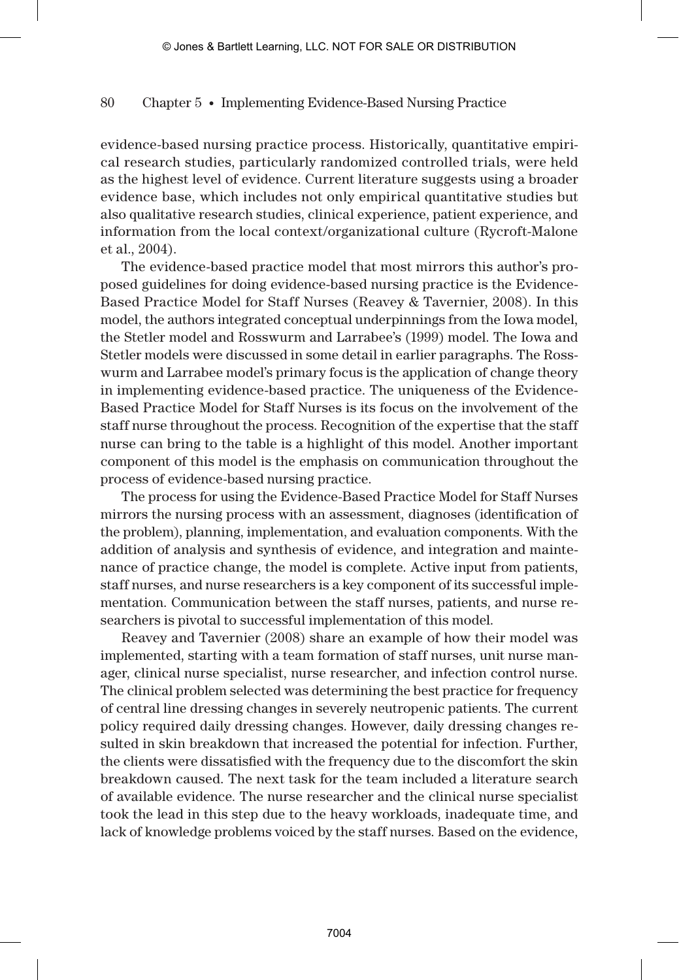evidence-based nursing practice process. Historically, quantitative empirical research studies, particularly randomized controlled trials, were held as the highest level of evidence. Current literature suggests using a broader evidence base, which includes not only empirical quantitative studies but also qualitative research studies, clinical experience, patient experience, and information from the local context/organizational culture (Rycroft-Malone et al., 2004).

The evidence-based practice model that most mirrors this author's proposed guidelines for doing evidence-based nursing practice is the Evidence-Based Practice Model for Staff Nurses (Reavey & Tavernier, 2008). In this model, the authors integrated conceptual underpinnings from the Iowa model, the Stetler model and Rosswurm and Larrabee's (1999) model. The Iowa and Stetler models were discussed in some detail in earlier paragraphs. The Rosswurm and Larrabee model's primary focus is the application of change theory in implementing evidence-based practice. The uniqueness of the Evidence-Based Practice Model for Staff Nurses is its focus on the involvement of the staff nurse throughout the process. Recognition of the expertise that the staff nurse can bring to the table is a highlight of this model. Another important component of this model is the emphasis on communication throughout the process of evidence-based nursing practice.

The process for using the Evidence-Based Practice Model for Staff Nurses mirrors the nursing process with an assessment, diagnoses (identification of the problem), planning, implementation, and evaluation components. With the addition of analysis and synthesis of evidence, and integration and maintenance of practice change, the model is complete. Active input from patients, staff nurses, and nurse researchers is a key component of its successful implementation. Communication between the staff nurses, patients, and nurse researchers is pivotal to successful implementation of this model.

Reavey and Tavernier (2008) share an example of how their model was implemented, starting with a team formation of staff nurses, unit nurse manager, clinical nurse specialist, nurse researcher, and infection control nurse. The clinical problem selected was determining the best practice for frequency of central line dressing changes in severely neutropenic patients. The current policy required daily dressing changes. However, daily dressing changes resulted in skin breakdown that increased the potential for infection. Further, the clients were dissatisfied with the frequency due to the discomfort the skin breakdown caused. The next task for the team included a literature search of available evidence. The nurse researcher and the clinical nurse specialist took the lead in this step due to the heavy workloads, inadequate time, and lack of knowledge problems voiced by the staff nurses. Based on the evidence,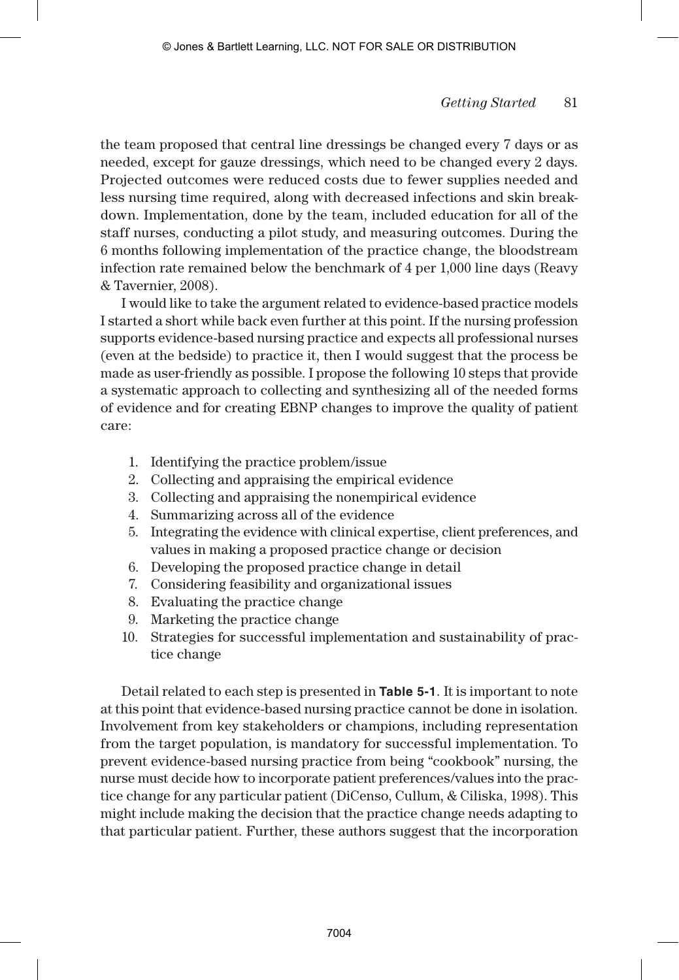the team proposed that central line dressings be changed every 7 days or as needed, except for gauze dressings, which need to be changed every 2 days. Projected outcomes were reduced costs due to fewer supplies needed and less nursing time required, along with decreased infections and skin breakdown. Implementation, done by the team, included education for all of the staff nurses, conducting a pilot study, and measuring outcomes. During the 6 months following implementation of the practice change, the bloodstream infection rate remained below the benchmark of 4 per 1,000 line days (Reavy & Tavernier, 2008).

I would like to take the argument related to evidence-based practice models I started a short while back even further at this point. If the nursing profession supports evidence-based nursing practice and expects all professional nurses (even at the bedside) to practice it, then I would suggest that the process be made as user-friendly as possible. I propose the following 10 steps that provide a systematic approach to collecting and synthesizing all of the needed forms of evidence and for creating EBNP changes to improve the quality of patient care:

- 1. Identifying the practice problem/issue
- 2. Collecting and appraising the empirical evidence
- 3. Collecting and appraising the nonempirical evidence
- 4. Summarizing across all of the evidence
- 5. Integrating the evidence with clinical expertise, client preferences, and values in making a proposed practice change or decision
- 6. Developing the proposed practice change in detail
- 7. Considering feasibility and organizational issues
- 8. Evaluating the practice change
- 9. Marketing the practice change
- 10. Strategies for successful implementation and sustainability of practice change

Detail related to each step is presented in **Table 5-1**. It is important to note at this point that evidence-based nursing practice cannot be done in isolation. Involvement from key stakeholders or champions, including representation from the target population, is mandatory for successful implementation. To prevent evidence-based nursing practice from being "cookbook" nursing, the nurse must decide how to incorporate patient preferences/values into the practice change for any particular patient (DiCenso, Cullum, & Ciliska, 1998). This might include making the decision that the practice change needs adapting to that particular patient. Further, these authors suggest that the incorporation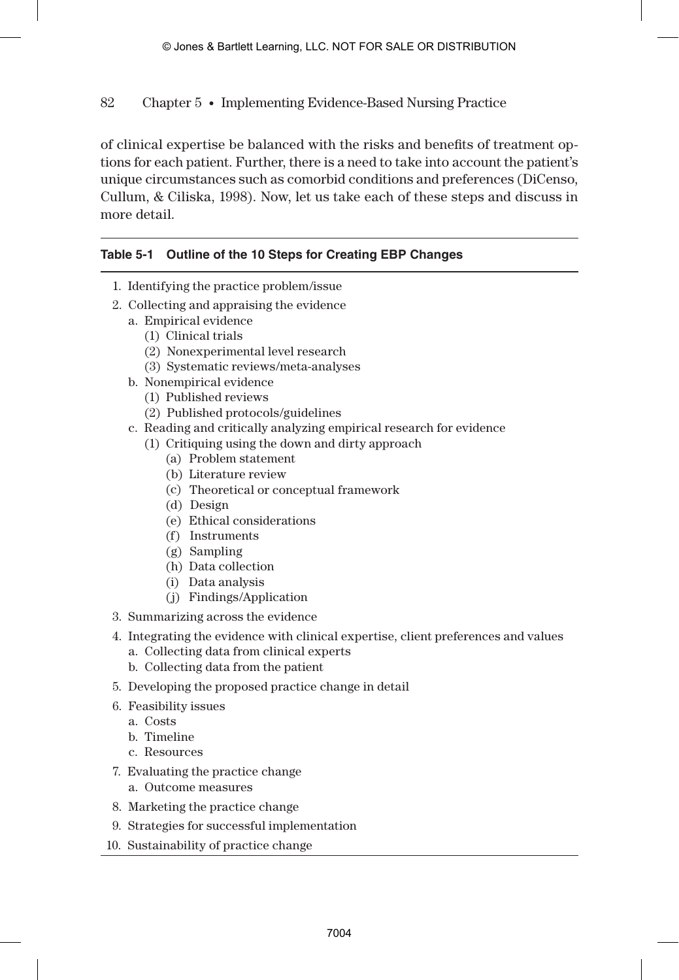of clinical expertise be balanced with the risks and benefits of treatment options for each patient. Further, there is a need to take into account the patient's unique circumstances such as comorbid conditions and preferences (DiCenso, Cullum, & Ciliska, 1998). Now, let us take each of these steps and discuss in more detail.

## **Table 5-1 Outline of the 10 Steps for Creating EBP Changes**

- 1. Identifying the practice problem/issue
- 2. Collecting and appraising the evidence
	- a. Empirical evidence
		- (1) Clinical trials
		- (2) Nonexperimental level research
		- (3) Systematic reviews/meta-analyses
	- b. Nonempirical evidence
		- (1) Published reviews
		- (2) Published protocols/guidelines
	- c. Reading and critically analyzing empirical research for evidence
		- (1) Critiquing using the down and dirty approach
			- (a) Problem statement
			- (b) Literature review
			- (c) Theoretical or conceptual framework
			- (d) Design
			- (e) Ethical considerations
			- (f) Instruments
			- (g) Sampling
			- (h) Data collection
			- (i) Data analysis
			- (j) Findings/Application
- 3. Summarizing across the evidence
- 4. Integrating the evidence with clinical expertise, client preferences and values
	- a. Collecting data from clinical experts
	- b. Collecting data from the patient
- 5. Developing the proposed practice change in detail
- 6. Feasibility issues
	- a. Costs
	- b. Timeline
	- c. Resources
- 7. Evaluating the practice change a. Outcome measures
- 8. Marketing the practice change
- 9. Strategies for successful implementation
- 10. Sustainability of practice change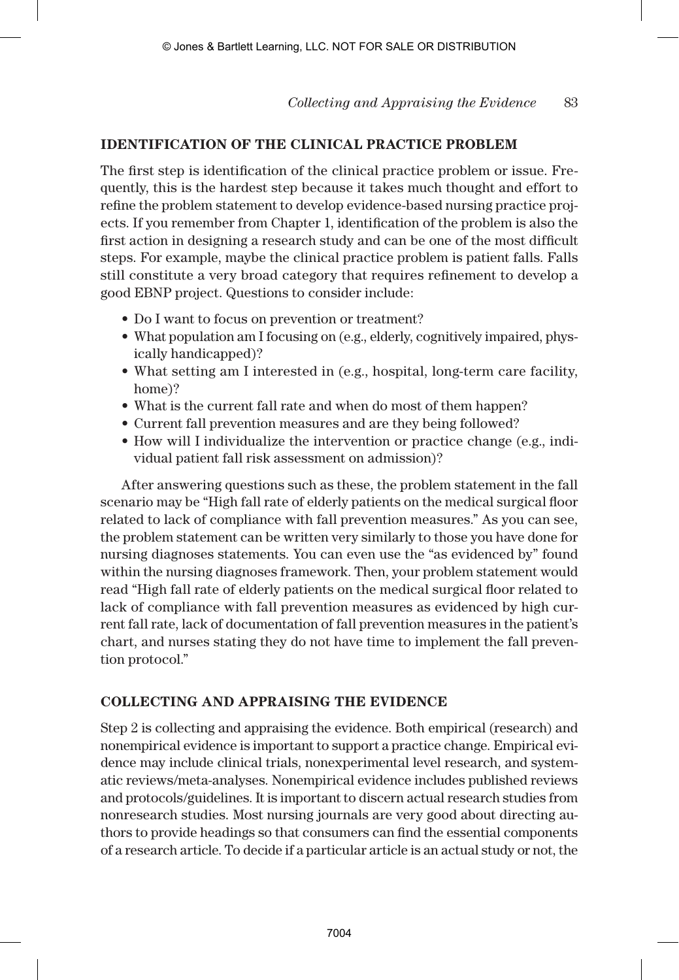# **Identification of the Clinical Practice Problem**

The first step is identification of the clinical practice problem or issue. Frequently, this is the hardest step because it takes much thought and effort to refine the problem statement to develop evidence-based nursing practice projects. If you remember from Chapter 1, identification of the problem is also the first action in designing a research study and can be one of the most difficult steps. For example, maybe the clinical practice problem is patient falls. Falls still constitute a very broad category that requires refinement to develop a good EBNP project. Questions to consider include:

- Do I want to focus on prevention or treatment?
- What population am I focusing on (e.g., elderly, cognitively impaired, physically handicapped)?
- What setting am I interested in (e.g., hospital, long-term care facility, home)?
- What is the current fall rate and when do most of them happen?
- • Current fall prevention measures and are they being followed?
- How will I individualize the intervention or practice change (e.g., individual patient fall risk assessment on admission)?

After answering questions such as these, the problem statement in the fall scenario may be "High fall rate of elderly patients on the medical surgical floor related to lack of compliance with fall prevention measures." As you can see, the problem statement can be written very similarly to those you have done for nursing diagnoses statements. You can even use the "as evidenced by" found within the nursing diagnoses framework. Then, your problem statement would read "High fall rate of elderly patients on the medical surgical floor related to lack of compliance with fall prevention measures as evidenced by high current fall rate, lack of documentation of fall prevention measures in the patient's chart, and nurses stating they do not have time to implement the fall prevention protocol."

# **Collecting and Appraising the Evidence**

Step 2 is collecting and appraising the evidence. Both empirical (research) and nonempirical evidence is important to support a practice change. Empirical evidence may include clinical trials, nonexperimental level research, and systematic reviews/meta-analyses. Nonempirical evidence includes published reviews and protocols/guidelines. It is important to discern actual research studies from nonresearch studies. Most nursing journals are very good about directing authors to provide headings so that consumers can find the essential components of a research article. To decide if a particular article is an actual study or not, the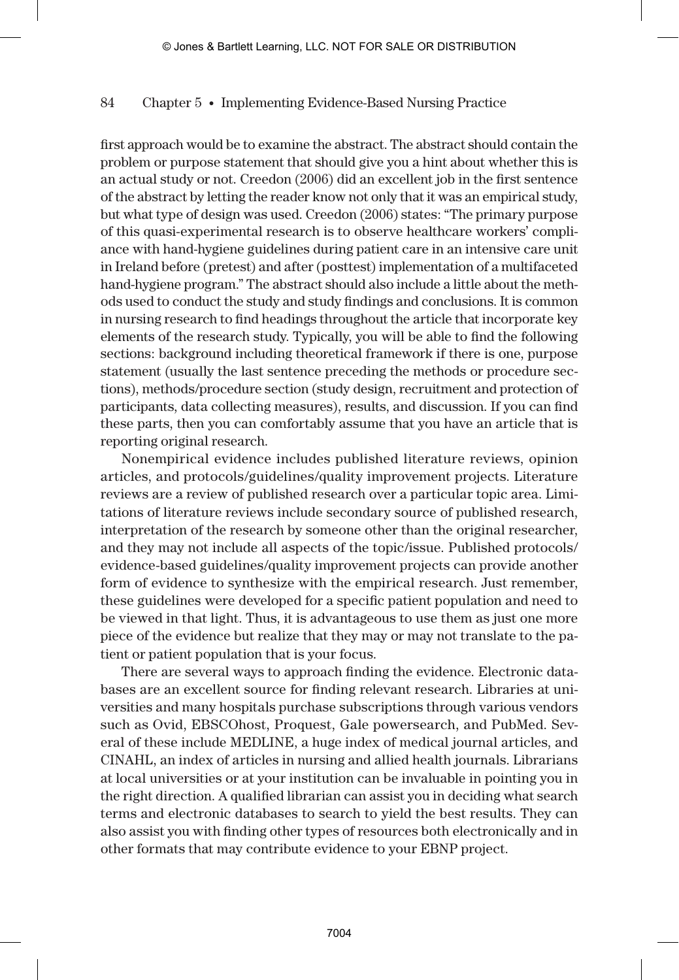first approach would be to examine the abstract. The abstract should contain the problem or purpose statement that should give you a hint about whether this is an actual study or not. Creedon (2006) did an excellent job in the first sentence of the abstract by letting the reader know not only that it was an empirical study, but what type of design was used. Creedon (2006) states: "The primary purpose of this quasi-experimental research is to observe healthcare workers' compliance with hand-hygiene guidelines during patient care in an intensive care unit in Ireland before (pretest) and after (posttest) implementation of a multifaceted hand-hygiene program." The abstract should also include a little about the methods used to conduct the study and study findings and conclusions. It is common in nursing research to find headings throughout the article that incorporate key elements of the research study. Typically, you will be able to find the following sections: background including theoretical framework if there is one, purpose statement (usually the last sentence preceding the methods or procedure sections), methods/procedure section (study design, recruitment and protection of participants, data collecting measures), results, and discussion. If you can find these parts, then you can comfortably assume that you have an article that is reporting original research.

Nonempirical evidence includes published literature reviews, opinion articles, and protocols/guidelines/quality improvement projects. Literature reviews are a review of published research over a particular topic area. Limitations of literature reviews include secondary source of published research, interpretation of the research by someone other than the original researcher, and they may not include all aspects of the topic/issue. Published protocols/ evidence-based guidelines/quality improvement projects can provide another form of evidence to synthesize with the empirical research. Just remember, these guidelines were developed for a specific patient population and need to be viewed in that light. Thus, it is advantageous to use them as just one more piece of the evidence but realize that they may or may not translate to the patient or patient population that is your focus.

There are several ways to approach finding the evidence. Electronic databases are an excellent source for finding relevant research. Libraries at universities and many hospitals purchase subscriptions through various vendors such as Ovid, EBSCOhost, Proquest, Gale powersearch, and PubMed. Several of these include MEDLINE, a huge index of medical journal articles, and CINAHL, an index of articles in nursing and allied health journals. Librarians at local universities or at your institution can be invaluable in pointing you in the right direction. A qualified librarian can assist you in deciding what search terms and electronic databases to search to yield the best results. They can also assist you with finding other types of resources both electronically and in other formats that may contribute evidence to your EBNP project.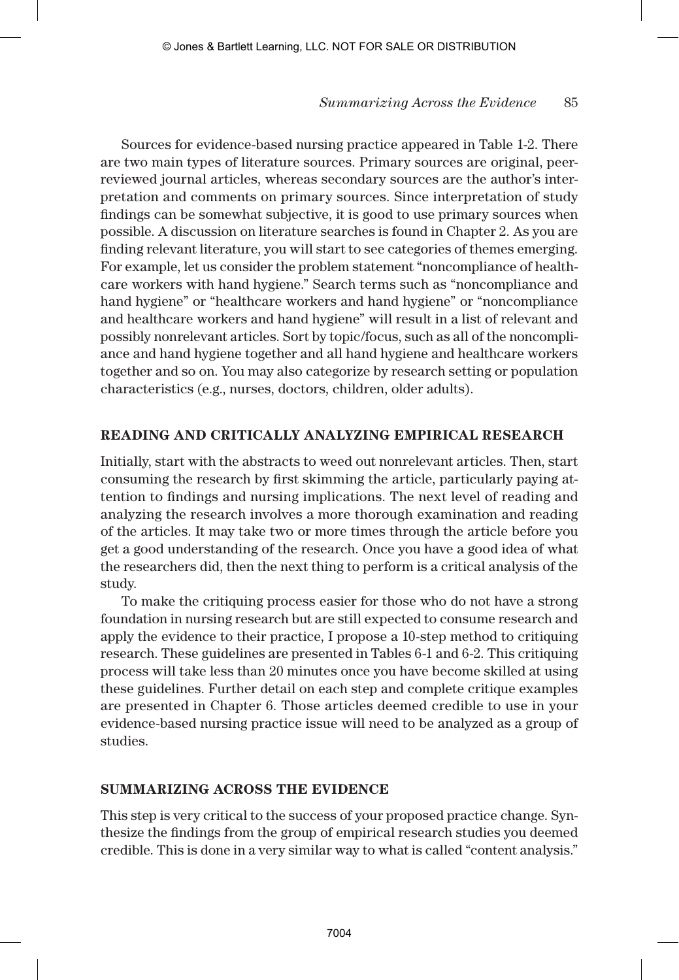#### *Summarizing Across the Evidence* 85

Sources for evidence-based nursing practice appeared in Table 1-2. There are two main types of literature sources. Primary sources are original, peerreviewed journal articles, whereas secondary sources are the author's interpretation and comments on primary sources. Since interpretation of study findings can be somewhat subjective, it is good to use primary sources when possible. A discussion on literature searches is found in Chapter 2. As you are finding relevant literature, you will start to see categories of themes emerging. For example, let us consider the problem statement "noncompliance of healthcare workers with hand hygiene." Search terms such as "noncompliance and hand hygiene" or "healthcare workers and hand hygiene" or "noncompliance and healthcare workers and hand hygiene" will result in a list of relevant and possibly nonrelevant articles. Sort by topic/focus, such as all of the noncompliance and hand hygiene together and all hand hygiene and healthcare workers together and so on. You may also categorize by research setting or population characteristics (e.g., nurses, doctors, children, older adults).

# **Reading and Critically Analyzing Empirical Research**

Initially, start with the abstracts to weed out nonrelevant articles. Then, start consuming the research by first skimming the article, particularly paying attention to findings and nursing implications. The next level of reading and analyzing the research involves a more thorough examination and reading of the articles. It may take two or more times through the article before you get a good understanding of the research. Once you have a good idea of what the researchers did, then the next thing to perform is a critical analysis of the study.

To make the critiquing process easier for those who do not have a strong foundation in nursing research but are still expected to consume research and apply the evidence to their practice, I propose a 10-step method to critiquing research. These guidelines are presented in Tables 6-1 and 6-2. This critiquing process will take less than 20 minutes once you have become skilled at using these guidelines. Further detail on each step and complete critique examples are presented in Chapter 6. Those articles deemed credible to use in your evidence-based nursing practice issue will need to be analyzed as a group of studies.

# **Summarizing Across the Evidence**

This step is very critical to the success of your proposed practice change. Synthesize the findings from the group of empirical research studies you deemed credible. This is done in a very similar way to what is called "content analysis."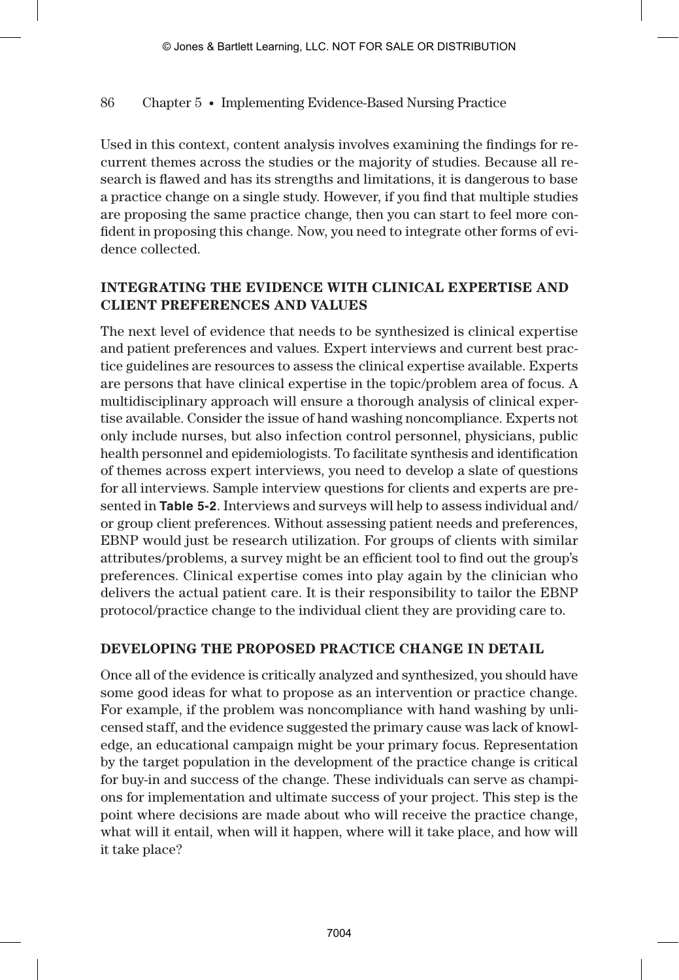Used in this context, content analysis involves examining the findings for recurrent themes across the studies or the majority of studies. Because all research is flawed and has its strengths and limitations, it is dangerous to base a practice change on a single study. However, if you find that multiple studies are proposing the same practice change, then you can start to feel more confident in proposing this change. Now, you need to integrate other forms of evidence collected.

# **Integrating the Evidence with Clinical Expertise and Client Preferences and Values**

The next level of evidence that needs to be synthesized is clinical expertise and patient preferences and values. Expert interviews and current best practice guidelines are resources to assess the clinical expertise available. Experts are persons that have clinical expertise in the topic/problem area of focus. A multidisciplinary approach will ensure a thorough analysis of clinical expertise available. Consider the issue of hand washing noncompliance. Experts not only include nurses, but also infection control personnel, physicians, public health personnel and epidemiologists. To facilitate synthesis and identification of themes across expert interviews, you need to develop a slate of questions for all interviews. Sample interview questions for clients and experts are presented in **Table 5-2**. Interviews and surveys will help to assess individual and/ or group client preferences. Without assessing patient needs and preferences, EBNP would just be research utilization. For groups of clients with similar attributes/problems, a survey might be an efficient tool to find out the group's preferences. Clinical expertise comes into play again by the clinician who delivers the actual patient care. It is their responsibility to tailor the EBNP protocol/practice change to the individual client they are providing care to.

# **Developing the Proposed Practice Change in Detail**

Once all of the evidence is critically analyzed and synthesized, you should have some good ideas for what to propose as an intervention or practice change. For example, if the problem was noncompliance with hand washing by unlicensed staff, and the evidence suggested the primary cause was lack of knowledge, an educational campaign might be your primary focus. Representation by the target population in the development of the practice change is critical for buy-in and success of the change. These individuals can serve as champions for implementation and ultimate success of your project. This step is the point where decisions are made about who will receive the practice change, what will it entail, when will it happen, where will it take place, and how will it take place?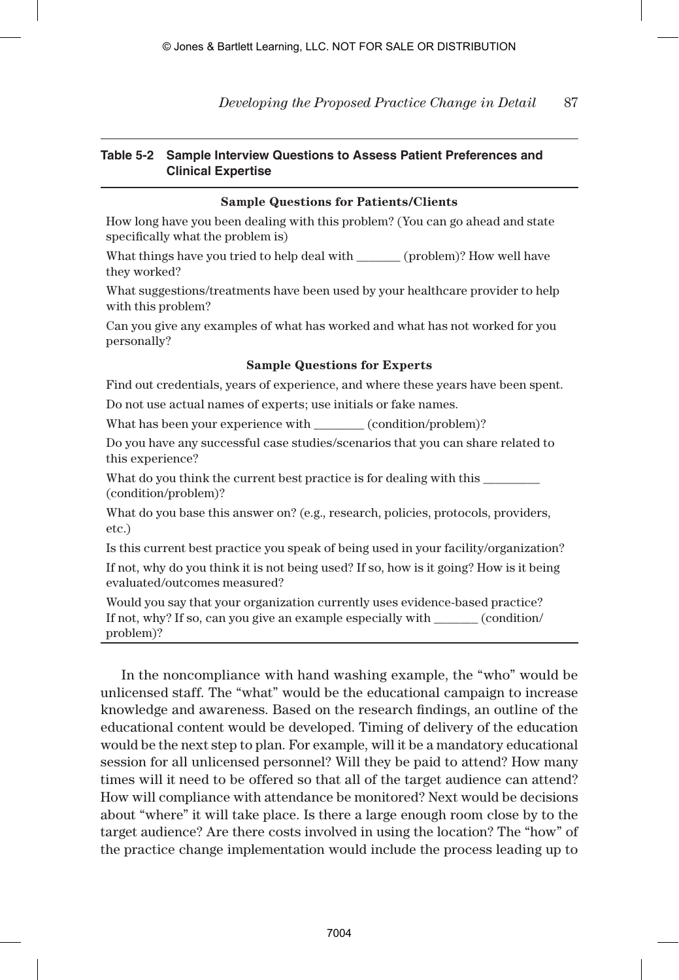## **Table 5-2 Sample Interview Questions to Assess Patient Preferences and Clinical Expertise**

#### **Sample Questions for Patients/Clients**

How long have you been dealing with this problem? (You can go ahead and state specifically what the problem is)

What things have you tried to help deal with \_\_\_\_\_\_\_ (problem)? How well have they worked?

What suggestions/treatments have been used by your healthcare provider to help with this problem?

Can you give any examples of what has worked and what has not worked for you personally?

#### **Sample Questions for Experts**

Find out credentials, years of experience, and where these years have been spent.

Do not use actual names of experts; use initials or fake names.

What has been your experience with \_\_\_\_\_\_\_\_ (condition/problem)?

Do you have any successful case studies/scenarios that you can share related to this experience?

What do you think the current best practice is for dealing with this  $\Box$ (condition/problem)?

What do you base this answer on? (e.g., research, policies, protocols, providers, etc.)

Is this current best practice you speak of being used in your facility/organization?

If not, why do you think it is not being used? If so, how is it going? How is it being evaluated/outcomes measured?

Would you say that your organization currently uses evidence-based practice? If not, why? If so, can you give an example especially with \_\_\_\_\_\_\_ (condition/ problem)?

In the noncompliance with hand washing example, the "who" would be unlicensed staff. The "what" would be the educational campaign to increase knowledge and awareness. Based on the research findings, an outline of the educational content would be developed. Timing of delivery of the education would be the next step to plan. For example, will it be a mandatory educational session for all unlicensed personnel? Will they be paid to attend? How many times will it need to be offered so that all of the target audience can attend? How will compliance with attendance be monitored? Next would be decisions about "where" it will take place. Is there a large enough room close by to the target audience? Are there costs involved in using the location? The "how" of the practice change implementation would include the process leading up to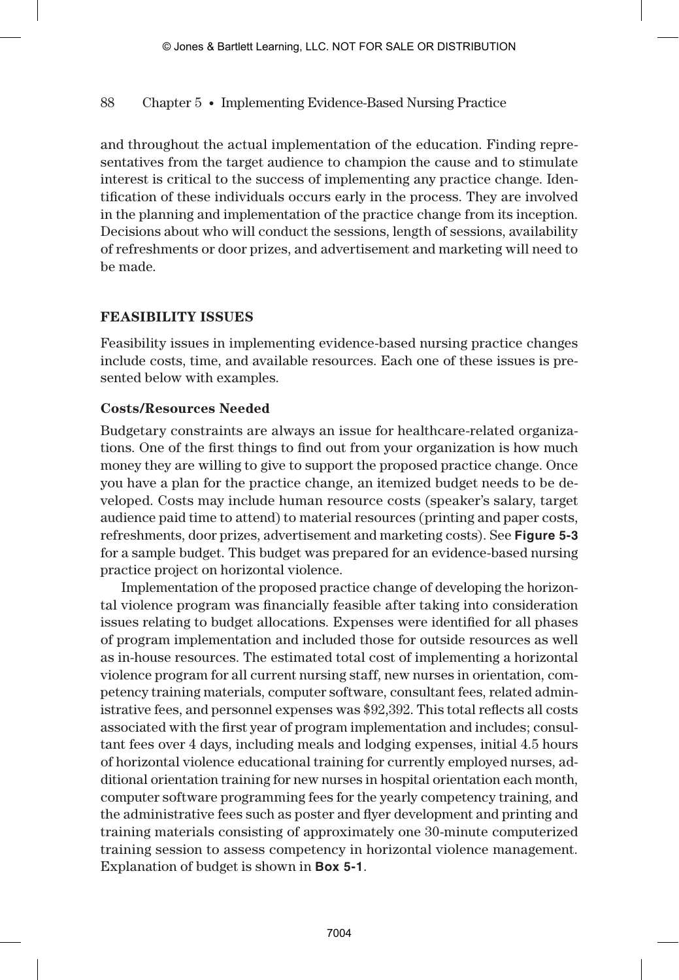and throughout the actual implementation of the education. Finding representatives from the target audience to champion the cause and to stimulate interest is critical to the success of implementing any practice change. Identification of these individuals occurs early in the process. They are involved in the planning and implementation of the practice change from its inception. Decisions about who will conduct the sessions, length of sessions, availability of refreshments or door prizes, and advertisement and marketing will need to be made.

# **Feasibility Issues**

Feasibility issues in implementing evidence-based nursing practice changes include costs, time, and available resources. Each one of these issues is presented below with examples.

# **Costs/Resources Needed**

Budgetary constraints are always an issue for healthcare-related organizations. One of the first things to find out from your organization is how much money they are willing to give to support the proposed practice change. Once you have a plan for the practice change, an itemized budget needs to be developed. Costs may include human resource costs (speaker's salary, target audience paid time to attend) to material resources (printing and paper costs, refreshments, door prizes, advertisement and marketing costs). See **Figure 5-3** for a sample budget. This budget was prepared for an evidence-based nursing practice project on horizontal violence.

Implementation of the proposed practice change of developing the horizontal violence program was financially feasible after taking into consideration issues relating to budget allocations. Expenses were identified for all phases of program implementation and included those for outside resources as well as in-house resources. The estimated total cost of implementing a horizontal violence program for all current nursing staff, new nurses in orientation, competency training materials, computer software, consultant fees, related administrative fees, and personnel expenses was \$92,392. This total reflects all costs associated with the first year of program implementation and includes; consultant fees over 4 days, including meals and lodging expenses, initial 4.5 hours of horizontal violence educational training for currently employed nurses, additional orientation training for new nurses in hospital orientation each month, computer software programming fees for the yearly competency training, and the administrative fees such as poster and flyer development and printing and training materials consisting of approximately one 30-minute computerized training session to assess competency in horizontal violence management. Explanation of budget is shown in **Box 5-1**.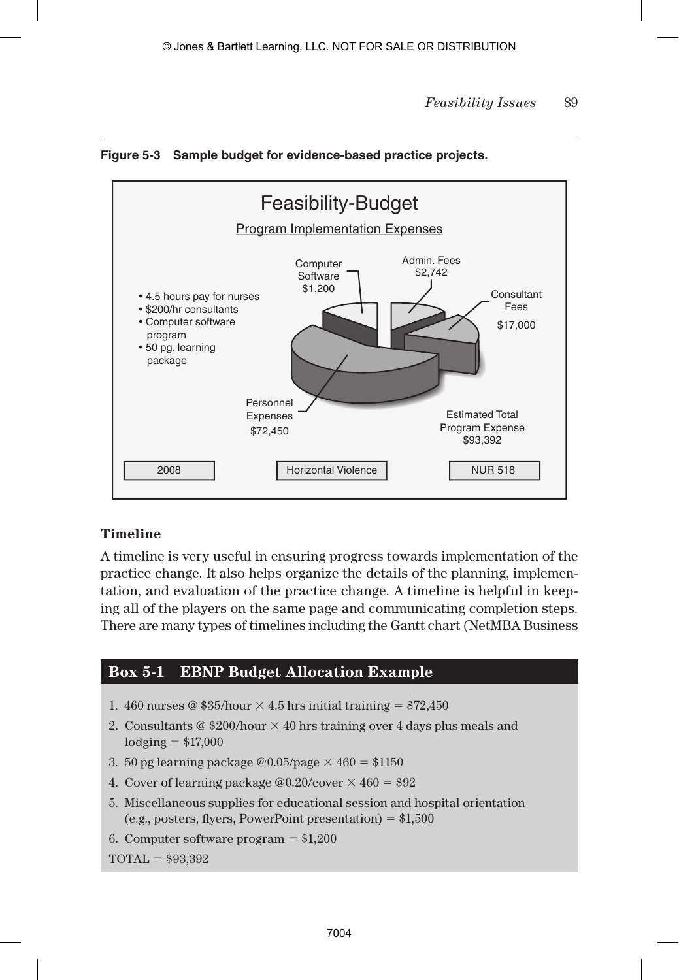

# **Figure 5-3 Sample budget for evidence-based practice projects.**

# **Timeline**

A timeline is very useful in ensuring progress towards implementation of the practice change. It also helps organize the details of the planning, implementation, and evaluation of the practice change. A timeline is helpful in keeping all of the players on the same page and communicating completion steps. There are many types of timelines including the Gantt chart (NetMBA Business

# **Box 5-1 EBNP Budget Allocation Example**

- 1. 460 nurses @ \$35/hour  $\times$  4.5 hrs initial training = \$72,450
- 2. Consultants @  $$200/hour \times 40$  hrs training over 4 days plus meals and  $\text{lodging} = $17,000$
- 3. 50 pg learning package  $\omega$ 0.05/page  $\times$  460 = \$1150
- 4. Cover of learning package @0.20/cover  $\times$  460 = \$92
- 5. Miscellaneous supplies for educational session and hospital orientation (e.g., posters, flyers, PowerPoint presentation) =  $$1,500$
- 6. Computer software program  $= $1,200$

 $TOTAL = $93,392$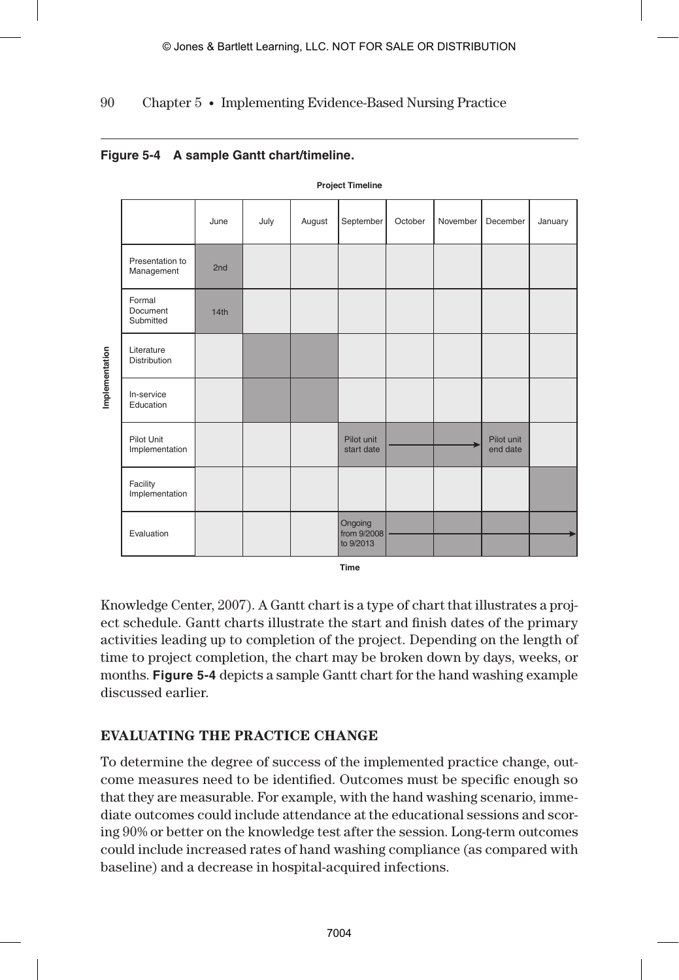**Project Timeline**

# 90 Chapter 5 • Implementing Evidence-Based Nursing Practice

| <b>Trole runemie</b> |                                   |      |      |        |                                     |         |          |                        |         |
|----------------------|-----------------------------------|------|------|--------|-------------------------------------|---------|----------|------------------------|---------|
|                      |                                   | June | July | August | September                           | October | November | December               | January |
| Implementation       | Presentation to<br>Management     | 2nd  |      |        |                                     |         |          |                        |         |
|                      | Formal<br>Document<br>Submitted   | 14th |      |        |                                     |         |          |                        |         |
|                      | Literature<br><b>Distribution</b> |      |      |        |                                     |         |          |                        |         |
|                      | In-service<br>Education           |      |      |        |                                     |         |          |                        |         |
|                      | Pilot Unit<br>Implementation      |      |      |        | Pilot unit<br>start date            |         |          | Pilot unit<br>end date |         |
|                      | Facility<br>Implementation        |      |      |        |                                     |         |          |                        |         |
|                      | Evaluation                        |      |      |        | Ongoing<br>from 9/2008<br>to 9/2013 |         |          |                        |         |

#### **Figure 5-4 A sample Gantt chart/timeline.**

Knowledge Center, 2007). A Gantt chart is a type of chart that illustrates a project schedule. Gantt charts illustrate the start and finish dates of the primary activities leading up to completion of the project. Depending on the length of time to project completion, the chart may be broken down by days, weeks, or months. Figure 5-4 depicts a sample Gantt chart for the hand washing example discussed earlier.

**Time**

# **Evaluating the Practice Change**

To determine the degree of success of the implemented practice change, outcome measures need to be identified. Outcomes must be specific enough so that they are measurable. For example, with the hand washing scenario, immediate outcomes could include attendance at the educational sessions and scoring 90% or better on the knowledge test after the session. Long-term outcomes could include increased rates of hand washing compliance (as compared with baseline) and a decrease in hospital-acquired infections.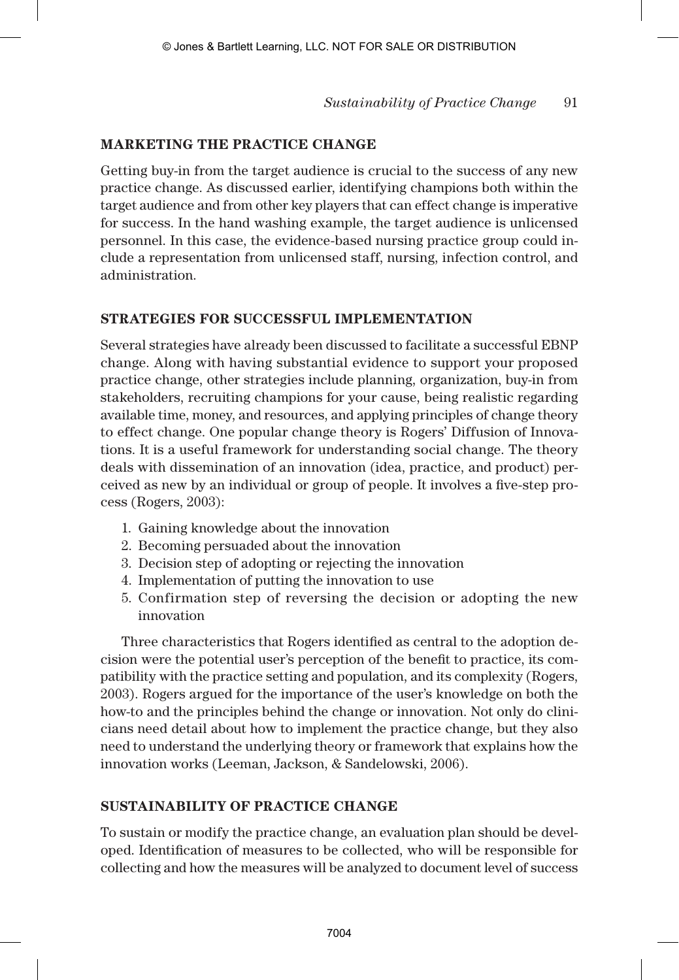#### *Sustainability of Practice Change* 91

# **Marketing the Practice Change**

Getting buy-in from the target audience is crucial to the success of any new practice change. As discussed earlier, identifying champions both within the target audience and from other key players that can effect change is imperative for success. In the hand washing example, the target audience is unlicensed personnel. In this case, the evidence-based nursing practice group could include a representation from unlicensed staff, nursing, infection control, and administration.

# **Strategies for Successful Implementation**

Several strategies have already been discussed to facilitate a successful EBNP change. Along with having substantial evidence to support your proposed practice change, other strategies include planning, organization, buy-in from stakeholders, recruiting champions for your cause, being realistic regarding available time, money, and resources, and applying principles of change theory to effect change. One popular change theory is Rogers' Diffusion of Innovations. It is a useful framework for understanding social change. The theory deals with dissemination of an innovation (idea, practice, and product) perceived as new by an individual or group of people. It involves a five-step process (Rogers, 2003):

- 1. Gaining knowledge about the innovation
- 2. Becoming persuaded about the innovation
- 3. Decision step of adopting or rejecting the innovation
- 4. Implementation of putting the innovation to use
- 5. Confirmation step of reversing the decision or adopting the new innovation

Three characteristics that Rogers identified as central to the adoption decision were the potential user's perception of the benefit to practice, its compatibility with the practice setting and population, and its complexity (Rogers, 2003). Rogers argued for the importance of the user's knowledge on both the how-to and the principles behind the change or innovation. Not only do clinicians need detail about how to implement the practice change, but they also need to understand the underlying theory or framework that explains how the innovation works (Leeman, Jackson, & Sandelowski, 2006).

# **Sustainability of Practice Change**

To sustain or modify the practice change, an evaluation plan should be developed. Identification of measures to be collected, who will be responsible for collecting and how the measures will be analyzed to document level of success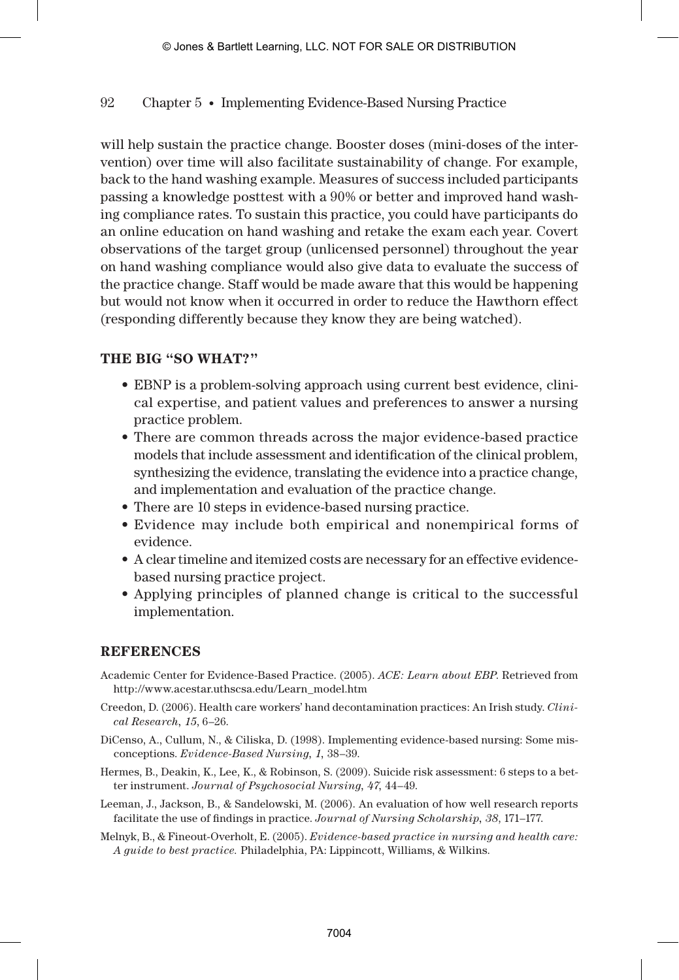will help sustain the practice change. Booster doses (mini-doses of the intervention) over time will also facilitate sustainability of change. For example, back to the hand washing example. Measures of success included participants passing a knowledge posttest with a 90% or better and improved hand washing compliance rates. To sustain this practice, you could have participants do an online education on hand washing and retake the exam each year. Covert observations of the target group (unlicensed personnel) throughout the year on hand washing compliance would also give data to evaluate the success of the practice change. Staff would be made aware that this would be happening but would not know when it occurred in order to reduce the Hawthorn effect (responding differently because they know they are being watched).

# **The Big "So What?"**

- EBNP is a problem-solving approach using current best evidence, clinical expertise, and patient values and preferences to answer a nursing practice problem.
- • There are common threads across the major evidence-based practice models that include assessment and identification of the clinical problem, synthesizing the evidence, translating the evidence into a practice change, and implementation and evaluation of the practice change.
- There are 10 steps in evidence-based nursing practice.
- Evidence may include both empirical and nonempirical forms of evidence.
- • A clear timeline and itemized costs are necessary for an effective evidencebased nursing practice project.
- • Applying principles of planned change is critical to the successful implementation.

# **References**

- Academic Center for Evidence-Based Practice. (2005). *ACE: Learn about EBP*. Retrieved from http://www.acestar.uthscsa.edu/Learn\_model.htm
- Creedon, D. (2006). Health care workers' hand decontamination practices: An Irish study. *Clinical Research, 15*, 6–26.
- DiCenso, A., Cullum, N., & Ciliska, D. (1998). Implementing evidence-based nursing: Some misconceptions. *Evidence-Based Nursing, 1,* 38–39.
- Hermes, B., Deakin, K., Lee, K., & Robinson, S. (2009). Suicide risk assessment: 6 steps to a better instrument. *Journal of Psychosocial Nursing, 47,* 44–49.
- Leeman, J., Jackson, B., & Sandelowski, M. (2006). An evaluation of how well research reports facilitate the use of findings in practice. *Journal of Nursing Scholarship, 38*, 171–177.
- Melnyk, B., & Fineout-Overholt, E. (2005). *Evidence-based practice in nursing and health care: A guide to best practice.* Philadelphia, PA: Lippincott, Williams, & Wilkins.